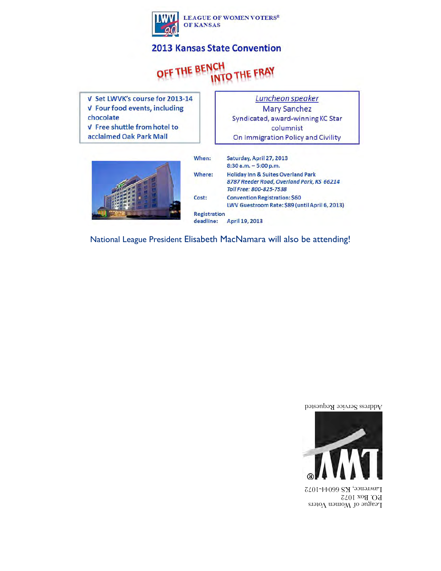

#### **2013 Kansas State Convention**

#### OFF THE BEN INTO THE FRAY

V Set LWVK's course for 2013-14 V Four food events, including chocolate V Free shuttle from hotel to acclaimed Oak Park Mall

Luncheon speaker **Mary Sanchez** Syndicated, award-winning KC Star columnist On Immigration Policy and Civility



| When:               | Saturday, April 27, 2013                                                                   |
|---------------------|--------------------------------------------------------------------------------------------|
|                     | $8:30$ a.m. $-5:00$ p.m.                                                                   |
| Where:              | <b>Holiday Inn &amp; Suites Overland Park</b><br>8787 Reeder Road, Overland Park, KS 66214 |
|                     | Toll Free: 800-825-7538                                                                    |
| Cost:               | <b>Convention Registration: \$60</b><br>LWV Guestroom Rate: \$89 (until April 6, 2013)     |
| <b>Registration</b> |                                                                                            |
| deadline:           | April 19, 2013                                                                             |

National League President Elisabeth MacNamara will also be attending!





League of Women Voters P.O. Box 1072 Lawrence, KS 66044-1072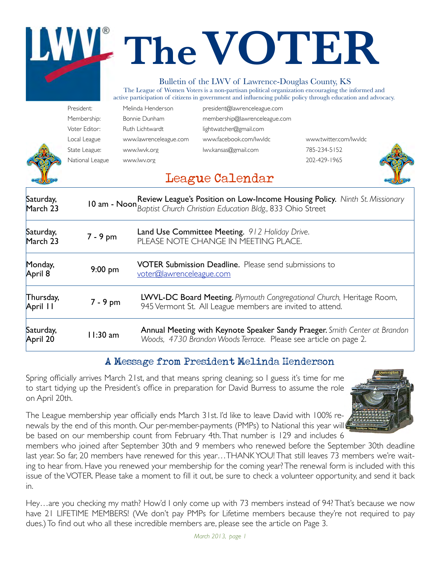# **TheVOTER**

#### Bulletin of the LWV of Lawrence-Douglas County, KS

The League of Women Voters is a non-partisan political organization encouraging the informed and active participation of citizens in government and influencing public policy through education and advocacy.

- President: Melinda Henderson [president@lawrenceleague.com](mailto:president@lawrenceleague.com) Membership: Bonnie Dunham [membership@lawrenceleague.com](mailto:membership@lawrenceleague.com) Voter Editor: Ruth Lichtwardt [lightwatcher@gmail.com](mailto:lightwatcher@gmail.com) Local League [www.lawrenceleague.com](http://www.lawrenceleague.com) [www.facebook.com/lwvldc](http://www.facebook.com/lwvldc) [www.twitter.com/lwvldc](http://www.twitter.com/lwvldc) State League: [www.lwvk.org](http://www.lwvk.org) [lwv.kansas@gmail.com](mailto:lwv.kansas@gmail.com) 785-234-5152 National League [www.lwv.org](http://www.lwv.org) 202-429-1965
	-



#### League Calendar

| Saturday,<br>March 23 |            | 10 am - Noon Review League's Position on Low-Income Housing Policy. Ninth St. Missionary 10 am - Noon Baptist Church Christian Education Bldg., 833 Ohio Street |
|-----------------------|------------|-----------------------------------------------------------------------------------------------------------------------------------------------------------------|
| Saturday,<br>March 23 | $7 - 9$ pm | Land Use Committee Meeting. 912 Holiday Drive.<br>PLEASE NOTE CHANGE IN MEETING PLACE.                                                                          |
| Monday,<br>April 8    | $9:00$ pm  | <b>VOTER Submission Deadline.</b> Please send submissions to<br>voter@lawrenceleague.com                                                                        |
| Thursday,<br>April 11 | $7 - 9$ pm | LWVL-DC Board Meeting. Plymouth Congregational Church, Heritage Room,<br>945 Vermont St. All League members are invited to attend.                              |
| Saturday,<br>April 20 | $11:30$ am | Annual Meeting with Keynote Speaker Sandy Praeger. Smith Center at Brandon<br>Woods, 4730 Brandon Woods Terrace. Please see article on page 2.                  |

#### A Message from President Melinda Henderson

Spring officially arrives March 21st, and that means spring cleaning; so I guess it's time for me to start tidying up the President's office in preparation for David Burress to assume the role on April 20th.

The League membership year officially ends March 31st. I'd like to leave David with 100% renewals by the end of this month. Our per-member-payments (PMPs) to National this year will be based on our membership count from February 4th. That number is 129 and includes 6



members who joined after September 30th and 9 members who renewed before the September 30th deadline last year. So far, 20 members have renewed for this year…THANK YOU! That still leaves 73 members we're waiting to hear from. Have you renewed your membership for the coming year? The renewal form is included with this issue of the VOTER. Please take a moment to fill it out, be sure to check a volunteer opportunity, and send it back in.

Hey…are you checking my math? How'd I only come up with 73 members instead of 94? That's because we now have 21 LIFETIME MEMBERS! (We don't pay PMPs for Lifetime members because they're not required to pay dues.) To find out who all these incredible members are, please see the article on Page 3.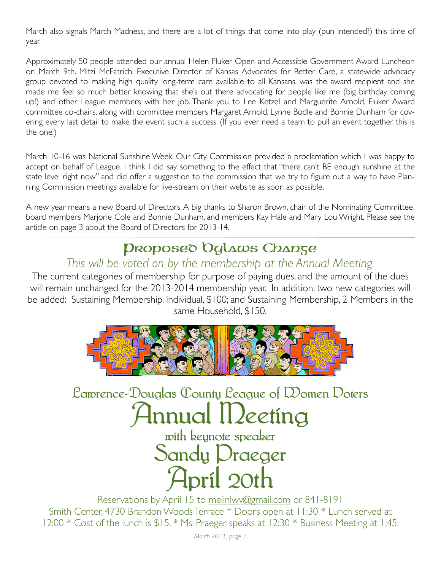March also signals March Madness, and there are a lot of things that come into play (pun intended?) this time of year.

Approximately 50 people attended our annual Helen Fluker Open and Accessible Government Award Luncheon on March 9th. Mitzi McFatrich, Executive Director of Kansas Advocates for Better Care, a statewide advocacy group devoted to making high quality long-term care available to all Kansans, was the award recipient and she made me feel so much better knowing that she's out there advocating for people like me (big birthday coming up!) and other League members with her job. Thank you to Lee Ketzel and Marguerite Arnold, Fluker Award committee co-chairs, along with committee members Margaret Arnold, Lynne Bodle and Bonnie Dunham for covering every last detail to make the event such a success. (If you ever need a team to pull an event together, this is the one!)

March 10-16 was National Sunshine Week. Our City Commission provided a proclamation which I was happy to accept on behalf of League. I think I did say something to the effect that "there can't BE enough sunshine at the state level right now" and did offer a suggestion to the commission that we try to figure out a way to have Planning Commission meetings available for live-stream on their website as soon as possible.

A new year means a new Board of Directors. A big thanks to Sharon Brown, chair of the Nominating Committee, board members Marjorie Cole and Bonnie Dunham, and members Kay Hale and Mary Lou Wright. Please see the article on page 3 about the Board of Directors for 2013-14.

# Proposed Bylaws Change

#### *This will be voted on by the membership at the Annual Meeting.*

The current categories of membership for purpose of paying dues, and the amount of the dues will remain unchanged for the 2013-2014 membership year. In addition, two new categories will be added: Sustaining Membership, Individual, \$100; and Sustaining Membership, 2 Members in the same Household, \$150.



Lawrence-Douglas County League of Women Voters

# Innual II*leet*íng

with keynote speaker Sandy Praeger April 20th

Reservations by April 15 to [melinlwv@gmail.com](mailto:melinlwv@gmail.com) or 841-8191 Smith Center, 4730 Brandon Woods Terrace \* Doors open at 11:30 \* Lunch served at 12:00 \* Cost of the lunch is \$15. \* Ms. Praeger speaks at 12:30 \* Business Meeting at 1:45.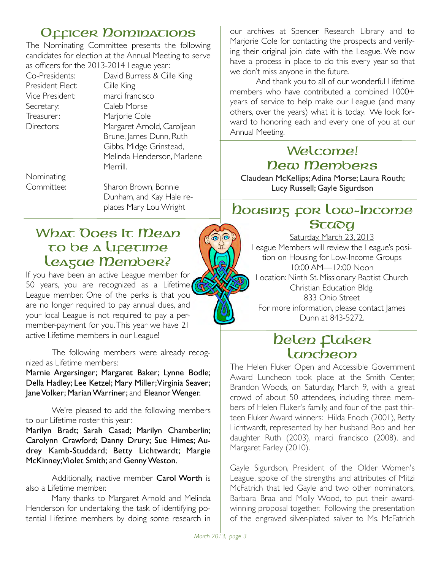#### Officer Dominations

The Nominating Committee presents the following candidates for election at the Annual Meeting to serve as officers for the 2013-2014 League year:

President Elect: Cille King Secretary: Caleb Morse Treasurer: Marjorie Cole

Co-Presidents: David Burress & Cille King Vice President: marci francisco Directors: Margaret Arnold, Caroljean Brune, James Dunn, Ruth Gibbs, Midge Grinstead, Melinda Henderson, Marlene Merrill.

Nominating

Committee: Sharon Brown, Bonnie Dunham, and Kay Hale re- places Mary Lou Wright

#### What Ooes It Mean to be a Lifetime League Member?

If you have been an active League member for 50 years, you are recognized as a Lifetime League member. One of the perks is that you are no longer required to pay annual dues, and your local League is not required to pay a permember-payment for you. This year we have 21 active Lifetime members in our League!

The following members were already recognized as Lifetime members:

Marnie Argersinger; Margaret Baker; Lynne Bodle; Della Hadley; Lee Ketzel; Mary Miller; Virginia Seaver; Jane Volker; Marian Warriner; and Eleanor Wenger.

We're pleased to add the following members to our Lifetime roster this year:

Marilyn Bradt; Sarah Casad; Marilyn Chamberlin; Carolynn Crawford; Danny Drury; Sue Himes; Audrey Kamb-Studdard; Betty Lichtwardt; Margie McKinney; Violet Smith; and Genny Weston.

Additionally, inactive member Carol Worth is also a Lifetime member.

Many thanks to Margaret Arnold and Melinda Henderson for undertaking the task of identifying potential Lifetime members by doing some research in our archives at Spencer Research Library and to Marjorie Cole for contacting the prospects and verifying their original join date with the League. We now have a process in place to do this every year so that we don't miss anyone in the future.

And thank you to all of our wonderful Lifetime members who have contributed a combined 1000+ years of service to help make our League (and many others, over the years) what it is today. We look forward to honoring each and every one of you at our Annual Meeting.

#### Welcome! New Members

Claudean McKellips; Adina Morse; Laura Routh; Lucy Russell; Gayle Sigurdson

#### boasing for Low-Income **Study**

Saturday, March 23, 2013 League Members will review the League's position on Housing for Low-Income Groups 10:00 AM—12:00 Noon Location: Ninth St. Missionary Baptist Church Christian Education Bldg. 833 Ohio Street For more information, please contact James Dunn at 843-5272.

#### Delen Claker **Luncheon**

The Helen Fluker Open and Accessible Government Award Luncheon took place at the Smith Center, Brandon Woods, on Saturday, March 9, with a great crowd of about 50 attendees, including three members of Helen Fluker's family, and four of the past thirteen Fluker Award winners: Hilda Enoch (2001), Betty Lichtwardt, represented by her husband Bob and her daughter Ruth (2003), marci francisco (2008), and Margaret Farley (2010).

Gayle Sigurdson, President of the Older Women's League, spoke of the strengths and attributes of Mitzi McFatrich that led Gayle and two other nominators, Barbara Braa and Molly Wood, to put their awardwinning proposal together. Following the presentation of the engraved silver-plated salver to Ms. McFatrich

 $\widehat{\mathbf{\Theta}}$ ๑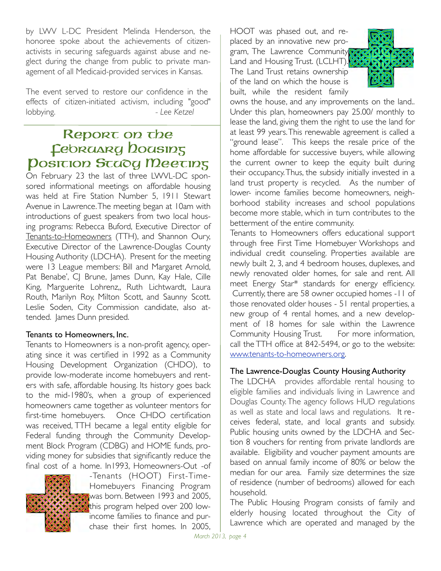by LWV L-DC President Melinda Henderson, the honoree spoke about the achievements of citizenactivists in securing safeguards against abuse and neglect during the change from public to private management of all Medicaid-provided services in Kansas.

The event served to restore our confidence in the effects of citizen-initiated activism, including "good" lobbying. *Lee Ketzel* 

#### Report on the **Febrasing Docising** Position Study Meeting

On February 23 the last of three LWVL-DC sponsored informational meetings on affordable housing was held at Fire Station Number 5, 1911 Stewart Avenue in Lawrence. The meeting began at 10am with introductions of guest speakers from two local housing programs: Rebecca Buford, Executive Director of Tenants-to-Homeowners (TTH), and Shannon Oury, Executive Director of the Lawrence-Douglas County Housing Authority (LDCHA). Present for the meeting were 13 League members: Bill and Margaret Arnold, Pat Benabe', C| Brune, James Dunn, Kay Hale, Cille King, Marguerite Lohrenz,, Ruth Lichtwardt, Laura Routh, Marilyn Roy, Milton Scott, and Saunny Scott. Leslie Soden, City Commission candidate, also attended. James Dunn presided.

#### Tenants to Homeowners, Inc.

Tenants to Homeowners is a non-profit agency, operating since it was certified in 1992 as a Community Housing Development Organization (CHDO), to provide low-moderate income homebuyers and renters with safe, affordable housing. Its history goes back to the mid-1980's, when a group of experienced homeowners came together as volunteer mentors for first-time homebuyers. Once CHDO certification was received, TTH became a legal entity eligible for Federal funding through the Community Development Block Program (CDBG) and HOME funds, providing money for subsidies that significantly reduce the final cost of a home. In1993, Homeowners-Out -of



-Tenants (HOOT) First-Time-Homebuyers Financing Program was born. Between 1993 and 2005, this program helped over 200 lowincome families to finance and purchase their first homes. In 2005,

HOOT was phased out, and replaced by an innovative new program, The Lawrence Community Land and Housing Trust. (LCLHT). The Land Trust retains ownership of the land on which the house is built, while the resident family



owns the house, and any improvements on the land.. Under this plan, homeowners pay 25.00/ monthly to lease the land, giving them the right to use the land for at least 99 years. This renewable agreement is called a "ground lease". This keeps the resale price of the home affordable for successive buyers, while allowing the current owner to keep the equity built during their occupancy. Thus, the subsidy initially invested in a land trust property is recycled. As the number of lower- income families become homeowners, neighborhood stability increases and school populations become more stable, which in turn contributes to the betterment of the entire community.

Tenants to Homeowners offers educational support through free First Time Homebuyer Workshops and individual credit counseling. Properties available are newly built 2, 3, and 4 bedroom houses, duplexes, and newly renovated older homes, for sale and rent. All meet Energy Star\* standards for energy efficiency. Currently, there are 58 owner occupied homes -11 of those renovated older houses - 51 rental properties, a new group of 4 rental homes, and a new development of 18 homes for sale within the Lawrence Community Housing Trust. For more information, call the TTH office at 842-5494, or go to the website: [www.tenants-to-homeowners.org.](http://www.tenants-to-homeowners.org/)

#### The Lawrence-Douglas County Housing Authority

The LDCHA provides affordable rental housing to eligible families and individuals living in Lawrence and Douglas County. The agency follows HUD regulations as well as state and local laws and regulations. It receives federal, state, and local grants and subsidy. Public housing units owned by the LDCHA and Section 8 vouchers for renting from private landlords are available. Eligibility and voucher payment amounts are based on annual family income of 80% or below the median for our area. Family size determines the size of residence (number of bedrooms) allowed for each household.

The Public Housing Program consists of family and elderly housing located throughout the City of Lawrence which are operated and managed by the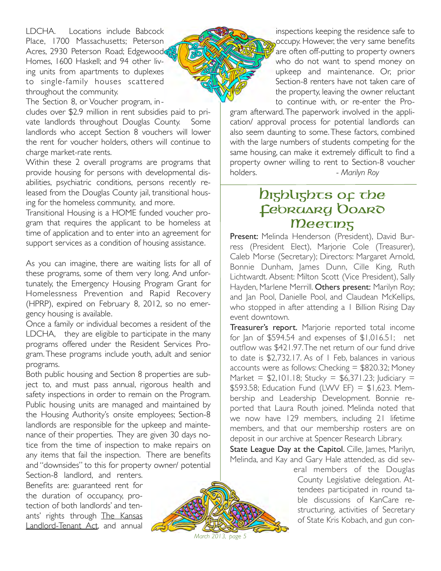LDCHA. Locations include Babcock Place, 1700 Massachusetts; Peterson Acres, 2930 Peterson Road; Edgewood Homes, 1600 Haskell; and 94 other living units from apartments to duplexes to single-family houses scattered throughout the community.

The Section 8, or Voucher program, in-

cludes over \$2.9 million in rent subsidies paid to private landlords throughout Douglas County. Some landlords who accept Section 8 vouchers will lower the rent for voucher holders, others will continue to charge market-rate rents.

Within these 2 overall programs are programs that provide housing for persons with developmental disabilities, psychiatric conditions, persons recently released from the Douglas County jail, transitional housing for the homeless community, and more.

Transitional Housing is a HOME funded voucher program that requires the applicant to be homeless at time of application and to enter into an agreement for support services as a condition of housing assistance.

As you can imagine, there are waiting lists for all of these programs, some of them very long. And unfortunately, the Emergency Housing Program Grant for Homelessness Prevention and Rapid Recovery (HPRP), expired on February 8, 2012, so no emergency housing is available.

Once a family or individual becomes a resident of the LDCHA, they are eligible to participate in the many programs offered under the Resident Services Program. These programs include youth, adult and senior programs.

Both public housing and Section 8 properties are subject to, and must pass annual, rigorous health and safety inspections in order to remain on the Program. Public housing units are managed and maintained by the Housing Authority's onsite employees; Section-8 landlords are responsible for the upkeep and maintenance of their properties. They are given 30 days notice from the time of inspection to make repairs on any items that fail the inspection. There are benefits and "downsides" to this for property owner/ potential

Section-8 landlord, and renters. Benefits are: guaranteed rent for the duration of occupancy, protection of both landlords' and tenants' rights through The Kansas Landlord-Tenant Act, and annual



inspections keeping the residence safe to occupy. However, the very same benefits are often off-putting to property owners who do not want to spend money on upkeep and maintenance. Or, prior Section-8 renters have not taken care of the property, leaving the owner reluctant to continue with, or re-enter the Pro-

gram afterward. The paperwork involved in the application/ approval process for potential landlords can also seem daunting to some. These factors, combined with the large numbers of students competing for the same housing, can make it extremely difficult to find a property owner willing to rent to Section-8 voucher holders. *a*  $\sim$  *Marilyn Roy* 

#### Digblights of the February DOARO **Meeting**

Present: Melinda Henderson (President), David Burress (President Elect), Marjorie Cole (Treasurer), Caleb Morse (Secretary); Directors: Margaret Arnold, Bonnie Dunham, James Dunn, Cille King, Ruth Lichtwardt. Absent: Milton Scott (Vice President), Sally Hayden, Marlene Merrill. Others present: Marilyn Roy; and Jan Pool, Danielle Pool, and Claudean McKellips, who stopped in after attending a 1 Billion Rising Day event downtown.

Treasurer's report. Marjorie reported total income for Jan of  $$594.54$  and expenses of  $$1,016.51$ ; net outflow was \$421.97. The net return of our fund drive to date is \$2,732.17. As of 1 Feb, balances in various accounts were as follows: Checking  $=$  \$820.32; Money Market =  $$2,101.18$ ; Stucky =  $$6,371.23$ ; Judiciary = \$593.58; Education Fund (LVVV EF) =  $$1,623$ . Membership and Leadership Development. Bonnie reported that Laura Routh joined. Melinda noted that we now have 129 members, including 21 lifetime members, and that our membership rosters are on deposit in our archive at Spencer Research Library.

State League Day at the Capitol. Cille, James, Marilyn, Melinda, and Kay and Gary Hale attended, as did sev-

eral members of the Douglas County Legislative delegation. Attendees participated in round table discussions of KanCare restructuring, activities of Secretary of State Kris Kobach, and gun con-

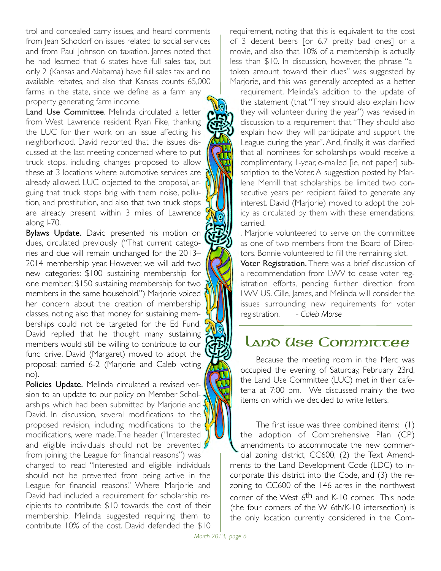trol and concealed carry issues, and heard comments from Jean Schodorf on issues related to social services and from Paul Johnson on taxation. James noted that he had learned that 6 states have full sales tax, but only 2 (Kansas and Alabama) have full sales tax and no available rebates, and also that Kansas counts 65,000 farms in the state, since we define as a farm any property generating farm income.

Land Use Committee. Melinda circulated a letter from West Lawrence resident Ryan Fike, thanking the LUC for their work on an issue affecting his neighborhood. David reported that the issues discussed at the last meeting concerned where to put truck stops, including changes proposed to allow these at 3 locations where automotive services are already allowed. LUC objected to the proposal, arguing that truck stops brig with them noise, pollution, and prostitution, and also that two truck stops are already present within 3 miles of Lawrence along I-70.

Bylaws Update. David presented his motion on dues, circulated previously ("That current categories and due will remain unchanged for the 2013– 2014 membership year. However, we will add two new categories: \$100 sustaining membership for one member; \$150 sustaining membership for two members in the same household.") Marjorie voiced her concern about the creation of membership classes, noting also that money for sustaining memberships could not be targeted for the Ed Fund. David replied that he thought many sustaining members would still be willing to contribute to our fund drive. David (Margaret) moved to adopt the proposal; carried 6-2 (Marjorie and Caleb voting no).

Policies Update. Melinda circulated a revised version to an update to our policy on Member Scholarships, which had been submitted by Marjorie and David. In discussion, several modifications to the proposed revision, including modifications to the modifications, were made. The header ("Interested and eligible individuals should not be prevented  $\oint$ from joining the League for financial reasons") was changed to read "Interested and eligible individuals should not be prevented from being active in the League for financial reasons." Where Marjorie and David had included a requirement for scholarship recipients to contribute \$10 towards the cost of their membership, Melinda suggested requiring them to contribute 10% of the cost. David defended the \$10

requirement, noting that this is equivalent to the cost of 3 decent beers [or 6.7 pretty bad ones] or a movie, and also that 10% of a membership is actually less than \$10. In discussion, however, the phrase "a token amount toward their dues" was suggested by Marjorie, and this was generally accepted as a better

requirement. Melinda's addition to the update of the statement (that "They should also explain how they will volunteer during the year") was revised in discussion to a requirement that "They should also explain how they will participate and support the League during the year". And, finally, it was clarified that all nominees for scholarships would receive a complimentary, 1-year, e-mailed [ie, not paper] subscription to the Voter. A suggestion posted by Marlene Merrill that scholarships be limited two consecutive years per recipient failed to generate any interest. David (Marjorie) moved to adopt the policy as circulated by them with these emendations; carried.

. Marjorie volunteered to serve on the committee as one of two members from the Board of Directors. Bonnie volunteered to fill the remaining slot.

Voter Registration. There was a brief discussion of a recommendation from LWV to cease voter registration efforts, pending further direction from LWV US. Cille, James, and Melinda will consider the issues surrounding new requirements for voter registration. *- Caleb Morse*

#### Land Use Committee

Because the meeting room in the Merc was occupied the evening of Saturday, February 23rd, the Land Use Committee (LUC) met in their cafeteria at 7:00 pm. We discussed mainly the two items on which we decided to write letters.

The first issue was three combined items: (1) the adoption of Comprehensive Plan (CP) amendments to accommodate the new commercial zoning district, CC600, (2) the Text Amendments to the Land Development Code (LDC) to incorporate this district into the Code, and (3) the rezoning to CC600 of the 146 acres in the northwest corner of the West 6<sup>th</sup> and K-10 corner. This node (the four corners of the W 6th/K-10 intersection) is the only location currently considered in the Com-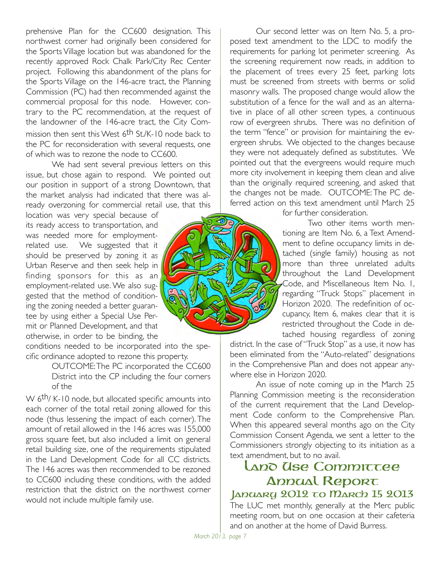prehensive Plan for the CC600 designation. This northwest corner had originally been considered for the Sports Village location but was abandoned for the recently approved Rock Chalk Park/City Rec Center project. Following this abandonment of the plans for the Sports Village on the 146-acre tract, the Planning Commission (PC) had then recommended against the commercial proposal for this node. However, contrary to the PC recommendation, at the request of the landowner of the 146-acre tract, the City Commission then sent this West 6<sup>th</sup> St./K-10 node back to the PC for reconsideration with several requests, one of which was to rezone the node to CC600.

We had sent several previous letters on this issue, but chose again to respond. We pointed out our position in support of a strong Downtown, that the market analysis had indicated that there was already overzoning for commercial retail use, that this

location was very special because of its ready access to transportation, and was needed more for employmentrelated use. We suggested that it should be preserved by zoning it as Urban Reserve and then seek help in finding sponsors for this as an employment-related use. We also suggested that the method of conditioning the zoning needed a better guarantee by using either a Special Use Permit or Planned Development, and that otherwise, in order to be binding, the

conditions needed to be incorporated into the specific ordinance adopted to rezone this property.

> OUTCOME: The PC incorporated the CC600 District into the CP including the four corners of the

W 6<sup>th</sup>/ K-10 node, but allocated specific amounts into each corner of the total retail zoning allowed for this node (thus lessening the impact of each corner). The amount of retail allowed in the 146 acres was 155,000 gross square feet, but also included a limit on general retail building size, one of the requirements stipulated in the Land Development Code for all CC districts. The 146 acres was then recommended to be rezoned to CC600 including these conditions, with the added restriction that the district on the northwest corner would not include multiple family use.

Our second letter was on Item No. 5, a proposed text amendment to the LDC to modify the requirements for parking lot perimeter screening. As the screening requirement now reads, in addition to the placement of trees every 25 feet, parking lots must be screened from streets with berms or solid masonry walls. The proposed change would allow the substitution of a fence for the wall and as an alternative in place of all other screen types, a continuous row of evergreen shrubs. There was no definition of the term "fence" or provision for maintaining the evergreen shrubs. We objected to the changes because they were not adequately defined as substitutes. We pointed out that the evergreens would require much more city involvement in keeping them clean and alive than the originally required screening, and asked that the changes not be made. OUTCOME: The PC deferred action on this text amendment until March 25

for further consideration.

Two other items worth mentioning are Item No. 6, a Text Amendment to define occupancy limits in detached (single family) housing as not more than three unrelated adults throughout the Land Development Code, and Miscellaneous Item No. 1, regarding "Truck Stops" placement in Horizon 2020. The redefinition of occupancy, Item 6, makes clear that it is restricted throughout the Code in detached housing regardless of zoning

district. In the case of "Truck Stop" as a use, it now has been eliminated from the "Auto-related" designations in the Comprehensive Plan and does not appear anywhere else in Horizon 2020.

An issue of note coming up in the March 25 Planning Commission meeting is the reconsideration of the current requirement that the Land Development Code conform to the Comprehensive Plan. When this appeared several months ago on the City Commission Consent Agenda, we sent a letter to the Commissioners strongly objecting to its initiation as a text amendment, but to no avail.

# Land Use Committee **Annual Report**

#### JADUARY 2012 TO MARCO 15 2013

The LUC met monthly, generally at the Merc public meeting room, but on one occasion at their cafeteria and on another at the home of David Burress.

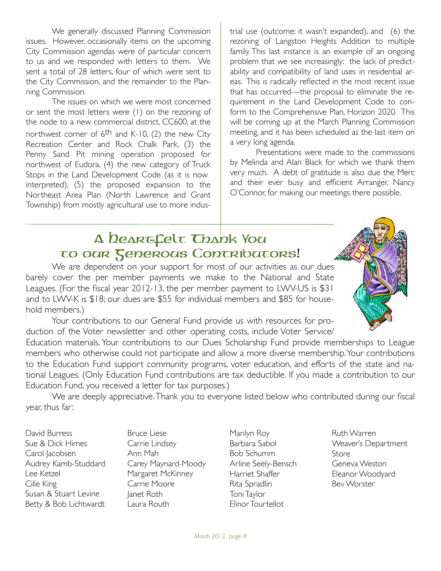We generally discussed Planning Commission issues. However, occasionally items on the upcoming City Commission agendas were of particular concern to us and we responded with letters to them. We sent a total of 28 letters, four of which were sent to the City Commission, and the remainder to the Planning Commission.

The issues on which we were most concerned or sent the most letters were (1) on the rezoning of the node to a new commercial district, CC600, at the northwest corner of  $6<sup>th</sup>$  and K-10, (2) the new City Recreation Center and Rock Chalk Park, (3) the Penny Sand Pit mining operation proposed for northwest of Eudora, (4) the new category of Truck Stops in the Land Development Code (as it is now interpreted), (5) the proposed expansion to the Northeast Area Plan (North Lawrence and Grant Township) from mostly agricultural use to more industrial use (outcome: it wasn't expanded), and (6) the rezoning of Langston Heights Addition to multiple family. This last instance is an example of an ongoing problem that we see increasingly: the lack of predictability and compatibility of land uses in residential areas. This is radically reflected in the most recent issue that has occurred—the proposal to eliminate the requirement in the Land Development Code to conform to the Comprehensive Plan, Horizon 2020. This will be coming up at the March Planning Commission meeting, and it has been scheduled as the last item on a very long agenda.

Presentations were made to the commissions by Melinda and Alan Black for which we thank them very much. A debt of gratitude is also due the Merc and their ever busy and efficient Arranger, Nancy O'Connor, for making our meetings there possible.

### A Deart-Celt Thank You to our Generous Contributors!

We are dependent on your support for most of our activities as our dues barely cover the per member payments we make to the National and State Leagues. (For the fiscal year 2012-13, the per member payment to LWV-US is \$31 and to LWV-K is \$18; our dues are \$55 for individual members and \$85 for household members.)

Your contributions to our General Fund provide us with resources for production of the Voter newsletter and other operating costs, include Voter Service/

Education materials. Your contributions to our Dues Scholarship Fund provide memberships to League members who otherwise could not participate and allow a more diverse membership. Your contributions to the Education Fund support community programs, voter education, and efforts of the state and national Leagues. (Only Education Fund contributions are tax deductible. If you made a contribution to our Education Fund, you received a letter for tax purposes.)

We are deeply appreciative. Thank you to everyone listed below who contributed during our fiscal year, thus far:

David Burress Sue & Dick Himes Carol Jacobsen Audrey Kamb-Studdard Lee Ketzel Cille King Susan & Stuart Levine Betty & Bob Lichtwardt

Bruce Liese Carrie Lindsey Ann Mah Carey Maynard-Moody Margaret McKinney Carrie Moore Janet Roth Laura Routh

Marilyn Roy Barbara Sabol Bob Schumm Arline Seely-Bensch Harriet Shaffer Rita Spradlin Toni Taylor Elinor Tourtellot

Ruth Warren Weaver's Department Store Geneva Weston Eleanor Woodyard Bev Worster